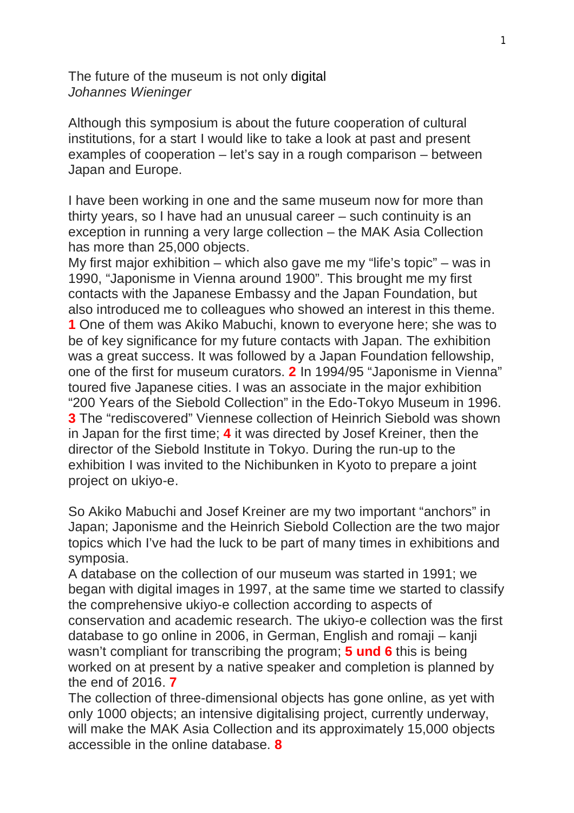The future of the museum is not only digital *Johannes Wieninger*

Although this symposium is about the future cooperation of cultural institutions, for a start I would like to take a look at past and present examples of cooperation – let's say in a rough comparison – between Japan and Europe.

I have been working in one and the same museum now for more than thirty years, so I have had an unusual career – such continuity is an exception in running a very large collection – the MAK Asia Collection has more than 25,000 objects.

My first major exhibition – which also gave me my "life's topic" – was in 1990, "Japonisme in Vienna around 1900". This brought me my first contacts with the Japanese Embassy and the Japan Foundation, but also introduced me to colleagues who showed an interest in this theme. **1** One of them was Akiko Mabuchi, known to everyone here; she was to be of key significance for my future contacts with Japan. The exhibition was a great success. It was followed by a Japan Foundation fellowship, one of the first for museum curators. **2** In 1994/95 "Japonisme in Vienna" toured five Japanese cities. I was an associate in the major exhibition "200 Years of the Siebold Collection" in the Edo-Tokyo Museum in 1996. **3** The "rediscovered" Viennese collection of Heinrich Siebold was shown in Japan for the first time; **4** it was directed by Josef Kreiner, then the director of the Siebold Institute in Tokyo. During the run-up to the exhibition I was invited to the Nichibunken in Kyoto to prepare a joint project on ukiyo-e.

So Akiko Mabuchi and Josef Kreiner are my two important "anchors" in Japan; Japonisme and the Heinrich Siebold Collection are the two major topics which I've had the luck to be part of many times in exhibitions and symposia.

A database on the collection of our museum was started in 1991; we began with digital images in 1997, at the same time we started to classify the comprehensive ukiyo-e collection according to aspects of conservation and academic research. The ukiyo-e collection was the first database to go online in 2006, in German, English and romaji – kanji wasn't compliant for transcribing the program; **5 und 6** this is being worked on at present by a native speaker and completion is planned by the end of 2016. **7**

The collection of three-dimensional objects has gone online, as yet with only 1000 objects; an intensive digitalising project, currently underway, will make the MAK Asia Collection and its approximately 15,000 objects accessible in the online database. **8**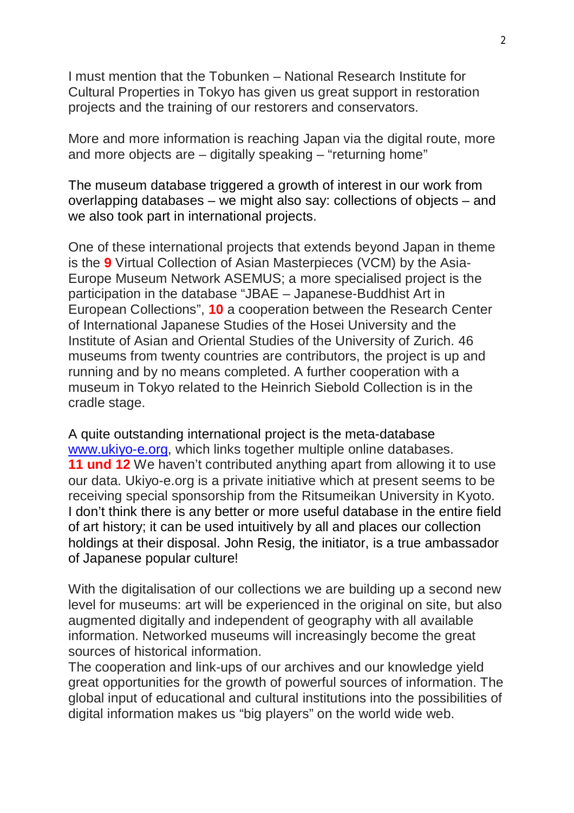I must mention that the Tobunken – National Research Institute for Cultural Properties in Tokyo has given us great support in restoration projects and the training of our restorers and conservators.

More and more information is reaching Japan via the digital route, more and more objects are – digitally speaking – "returning home"

The museum database triggered a growth of interest in our work from overlapping databases – we might also say: collections of objects – and we also took part in international projects.

One of these international projects that extends beyond Japan in theme is the **9** Virtual Collection of Asian Masterpieces (VCM) by the Asia-Europe Museum Network ASEMUS; a more specialised project is the participation in the database "JBAE – Japanese-Buddhist Art in European Collections", **10** a cooperation between the Research Center of International Japanese Studies of the Hosei University and the Institute of Asian and Oriental Studies of the University of Zurich. 46 museums from twenty countries are contributors, the project is up and running and by no means completed. A further cooperation with a museum in Tokyo related to the Heinrich Siebold Collection is in the cradle stage.

A quite outstanding international project is the meta-database www.ukiyo-e.org, which links together multiple online databases. **11 und 12** We haven't contributed anything apart from allowing it to use our data. Ukiyo-e.org is a private initiative which at present seems to be receiving special sponsorship from the Ritsumeikan University in Kyoto. I don't think there is any better or more useful database in the entire field of art history; it can be used intuitively by all and places our collection holdings at their disposal. John Resig, the initiator, is a true ambassador of Japanese popular culture!

With the digitalisation of our collections we are building up a second new level for museums: art will be experienced in the original on site, but also augmented digitally and independent of geography with all available information. Networked museums will increasingly become the great sources of historical information.

The cooperation and link-ups of our archives and our knowledge yield great opportunities for the growth of powerful sources of information. The global input of educational and cultural institutions into the possibilities of digital information makes us "big players" on the world wide web.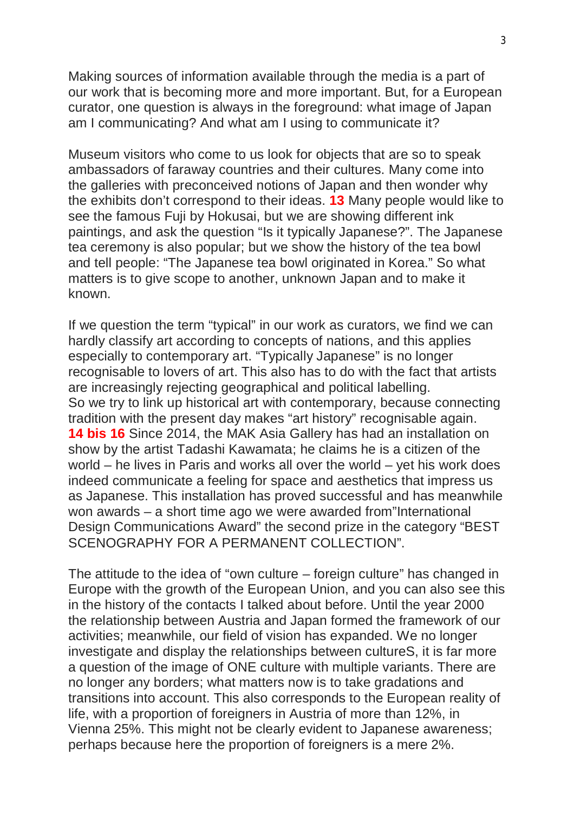Making sources of information available through the media is a part of our work that is becoming more and more important. But, for a European curator, one question is always in the foreground: what image of Japan am I communicating? And what am I using to communicate it?

Museum visitors who come to us look for objects that are so to speak ambassadors of faraway countries and their cultures. Many come into the galleries with preconceived notions of Japan and then wonder why the exhibits don't correspond to their ideas. **13** Many people would like to see the famous Fuji by Hokusai, but we are showing different ink paintings, and ask the question "Is it typically Japanese?". The Japanese tea ceremony is also popular; but we show the history of the tea bowl and tell people: "The Japanese tea bowl originated in Korea." So what matters is to give scope to another, unknown Japan and to make it known.

If we question the term "typical" in our work as curators, we find we can hardly classify art according to concepts of nations, and this applies especially to contemporary art. "Typically Japanese" is no longer recognisable to lovers of art. This also has to do with the fact that artists are increasingly rejecting geographical and political labelling. So we try to link up historical art with contemporary, because connecting tradition with the present day makes "art history" recognisable again. **14 bis 16** Since 2014, the MAK Asia Gallery has had an installation on show by the artist Tadashi Kawamata; he claims he is a citizen of the world – he lives in Paris and works all over the world – yet his work does indeed communicate a feeling for space and aesthetics that impress us as Japanese. This installation has proved successful and has meanwhile won awards – a short time ago we were awarded from"International Design Communications Award" the second prize in the category "BEST SCENOGRAPHY FOR A PERMANENT COLLECTION".

The attitude to the idea of "own culture – foreign culture" has changed in Europe with the growth of the European Union, and you can also see this in the history of the contacts I talked about before. Until the year 2000 the relationship between Austria and Japan formed the framework of our activities; meanwhile, our field of vision has expanded. We no longer investigate and display the relationships between cultureS, it is far more a question of the image of ONE culture with multiple variants. There are no longer any borders; what matters now is to take gradations and transitions into account. This also corresponds to the European reality of life, with a proportion of foreigners in Austria of more than 12%, in Vienna 25%. This might not be clearly evident to Japanese awareness; perhaps because here the proportion of foreigners is a mere 2%.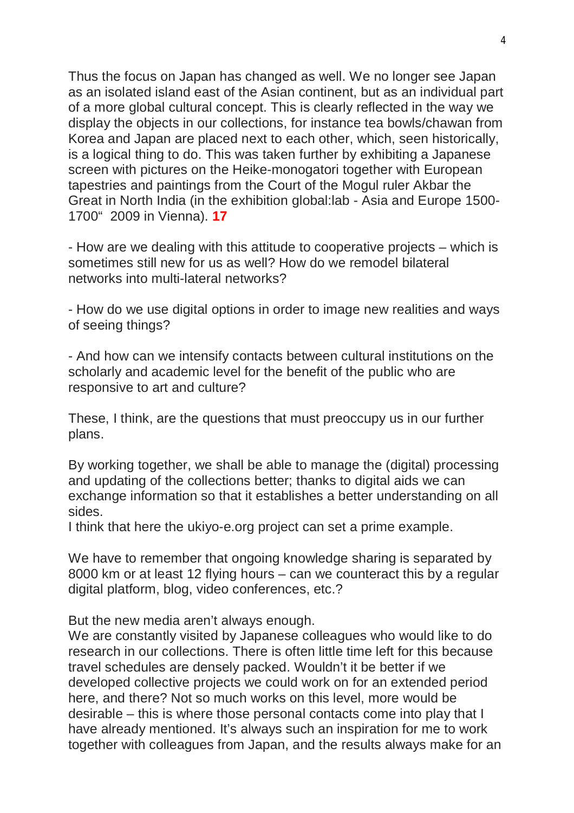Thus the focus on Japan has changed as well. We no longer see Japan as an isolated island east of the Asian continent, but as an individual part of a more global cultural concept. This is clearly reflected in the way we display the objects in our collections, for instance tea bowls/chawan from Korea and Japan are placed next to each other, which, seen historically, is a logical thing to do. This was taken further by exhibiting a Japanese screen with pictures on the Heike-monogatori together with European tapestries and paintings from the Court of the Mogul ruler Akbar the Great in North India (in the exhibition global:lab - Asia and Europe 1500- 1700" 2009 in Vienna). **17**

- How are we dealing with this attitude to cooperative projects – which is sometimes still new for us as well? How do we remodel bilateral networks into multi-lateral networks?

- How do we use digital options in order to image new realities and ways of seeing things?

- And how can we intensify contacts between cultural institutions on the scholarly and academic level for the benefit of the public who are responsive to art and culture?

These, I think, are the questions that must preoccupy us in our further plans.

By working together, we shall be able to manage the (digital) processing and updating of the collections better; thanks to digital aids we can exchange information so that it establishes a better understanding on all sides.

I think that here the ukiyo-e.org project can set a prime example.

We have to remember that ongoing knowledge sharing is separated by 8000 km or at least 12 flying hours – can we counteract this by a regular digital platform, blog, video conferences, etc.?

But the new media aren't always enough.

We are constantly visited by Japanese colleagues who would like to do research in our collections. There is often little time left for this because travel schedules are densely packed. Wouldn't it be better if we developed collective projects we could work on for an extended period here, and there? Not so much works on this level, more would be desirable – this is where those personal contacts come into play that I have already mentioned. It's always such an inspiration for me to work together with colleagues from Japan, and the results always make for an